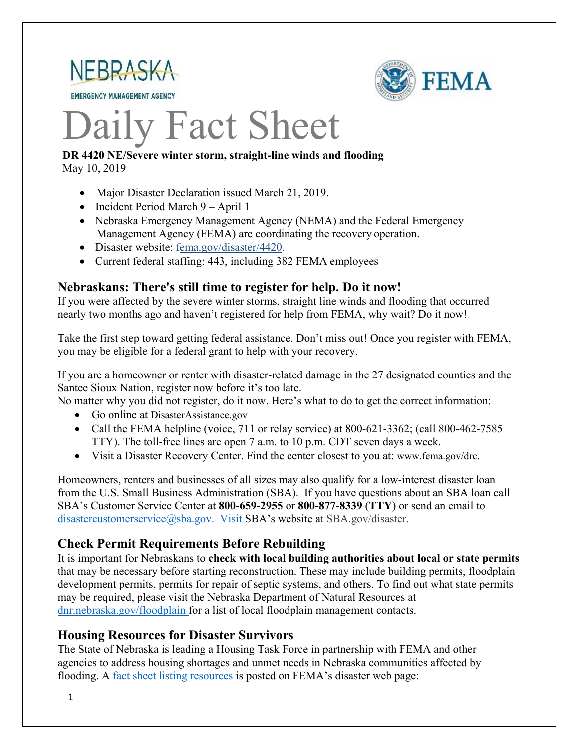

**EMERGENCY MANAGEMENT AGENCY** 



# Daily Fact Sheet

#### **DR 4420 NE/Severe winter storm, straight-line winds and flooding** May 10, 2019

- Major Disaster Declaration issued March 21, 2019.
- Incident Period March 9 April 1
- Nebraska Emergency Management Agency (NEMA) and the Federal Emergency Management Agency (FEMA) are coordinating the recovery operation.
- Disaster website: [fema.gov/disaster/4420.](https://www.fema.gov/disaster/4420)
- Current federal staffing: 443, including 382 FEMA employees

## **Nebraskans: There's still time to register for help. Do it now!**

If you were affected by the severe winter storms, straight line winds and flooding that occurred nearly two months ago and haven't registered for help from FEMA, why wait? Do it now!

Take the first step toward getting federal assistance. Don't miss out! Once you register with FEMA, you may be eligible for a federal grant to help with your recovery.

If you are a homeowner or renter with disaster-related damage in the 27 designated counties and the Santee Sioux Nation, register now before it's too late.

No matter why you did not register, do it now. Here's what to do to get the correct information:

- Go online at DisasterAssistance.gov
- Call the FEMA helpline (voice, 711 or relay service) at 800-621-3362; (call 800-462-7585) TTY). The toll-free lines are open 7 a.m. to 10 p.m. CDT seven days a week.
- Visit a Disaster Recovery Center. Find the center closest to you at: [www.fema.gov/drc.](http://www.fema.gov/drc)

Homeowners, renters and businesses of all sizes may also qualify for a low-interest disaster loan from the U.S. Small Business Administration (SBA). If you have questions about an SBA loan call SBA's Customer Service Center at **800-659-2955** or **800-877-8339** (**TTY**) or send an email to [disastercustomerservice@sba.gov.](mailto:disastercustomerservice@sba.gov.) Visit SBA's website at SBA.gov/disaster.

## **Check Permit Requirements Before Rebuilding**

It is important for Nebraskans to **check with local building authorities about local or state permits** that may be necessary before starting reconstruction. These may include building permits, floodplain development permits, permits for repair of septic systems, and others. To find out what state permits may be required, please visit the Nebraska Department of Natural Resources at [dnr.nebraska.gov/floodplain](https://dnr.nebraska.gov/floodplain) for a list of local floodplain management contacts.

## **Housing Resources for Disaster Survivors**

The State of Nebraska is leading a Housing Task Force in partnership with FEMA and other agencies to address housing shortages and unmet needs in Nebraska communities affected by flooding. A [fact sheet listing resources](https://edit.fema.gov/news-release/2019/04/19/fact-sheet-housing-resources-residents-nebraska-affected-march-storms-0) is posted on FEMA's disaster web page: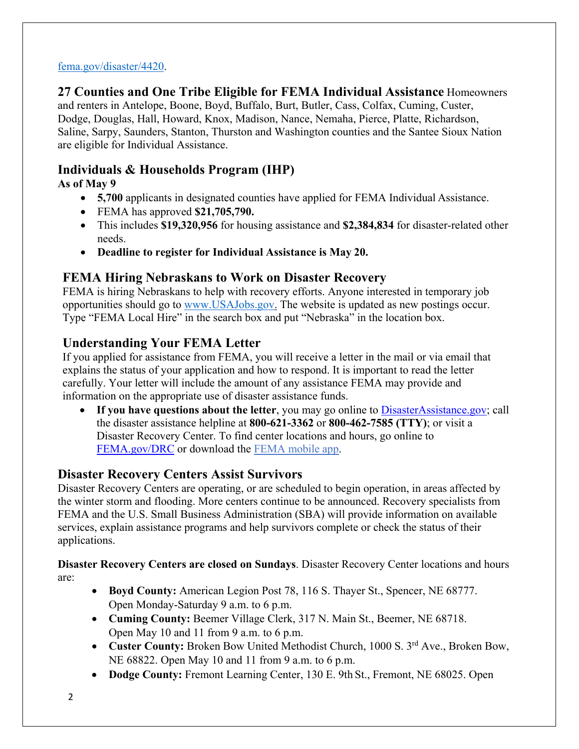#### [fema.gov/disaster/4420.](http://www.fema.gov/disaster/4420)

**27 Counties and One Tribe Eligible for FEMA Individual Assistance** Homeowners and renters in Antelope, Boone, Boyd, Buffalo, Burt, Butler, Cass, Colfax, Cuming, Custer, Dodge, Douglas, Hall, Howard, Knox, Madison, Nance, Nemaha, Pierce, Platte, Richardson, Saline, Sarpy, Saunders, Stanton, Thurston and Washington counties and the Santee Sioux Nation are eligible for Individual Assistance.

# **Individuals & Households Program (IHP)**

# **As of May 9**

- **5,700** applicants in designated counties have applied for FEMA Individual Assistance.
- FEMA has approved **\$21,705,790.**
- This includes **\$19,320,956** for housing assistance and **\$2,384,834** for disaster-related other needs.
- **Deadline to register for Individual Assistance is May 20.**

# **FEMA Hiring Nebraskans to Work on Disaster Recovery**

FEMA is hiring Nebraskans to help with recovery efforts. Anyone interested in temporary job opportunities should go to [www.USAJobs.gov.](http://www.usajobs.gov/) The website is updated as new postings occur. Type "FEMA Local Hire" in the search box and put "Nebraska" in the location box.

# **Understanding Your FEMA Letter**

If you applied for assistance from FEMA, you will receive a letter in the mail or via email that explains the status of your application and how to respond. It is important to read the letter carefully. Your letter will include the amount of any assistance FEMA may provide and information on the appropriate use of disaster assistance funds.

• If you have questions about the letter, you may go online to **DisasterAssistance.gov**; call the disaster assistance helpline at **800-621-3362** or **800-462-7585 (TTY)**; or visit a Disaster Recovery Center. To find center locations and hours, go online t[o](https://www.fema.gov/disaster-recovery-centers) [FEMA.gov/DRC](https://www.fema.gov/disaster-recovery-centers) or download the [FEMA mobile](https://www.fema.gov/mobile-app) app.

# **Disaster Recovery Centers Assist Survivors**

Disaster Recovery Centers are operating, or are scheduled to begin operation, in areas affected by the winter storm and flooding. More centers continue to be announced. Recovery specialists from FEMA and the U.S. Small Business Administration (SBA) will provide information on available services, explain assistance programs and help survivors complete or check the status of their applications.

**Disaster Recovery Centers are closed on Sundays**. Disaster Recovery Center locations and hours are:

- **Boyd County:** American Legion Post 78, 116 S. Thayer St., Spencer, NE 68777. Open Monday-Saturday 9 a.m. to 6 p.m.
- **Cuming County:** Beemer Village Clerk, 317 N. Main St., Beemer, NE 68718. Open May 10 and 11 from 9 a.m. to 6 p.m.
- Custer County: Broken Bow United Methodist Church, 1000 S. 3<sup>rd</sup> Ave., Broken Bow, NE 68822. Open May 10 and 11 from 9 a.m. to 6 p.m.
- **Dodge County:** Fremont Learning Center, 130 E. 9th St., Fremont, NE 68025. Open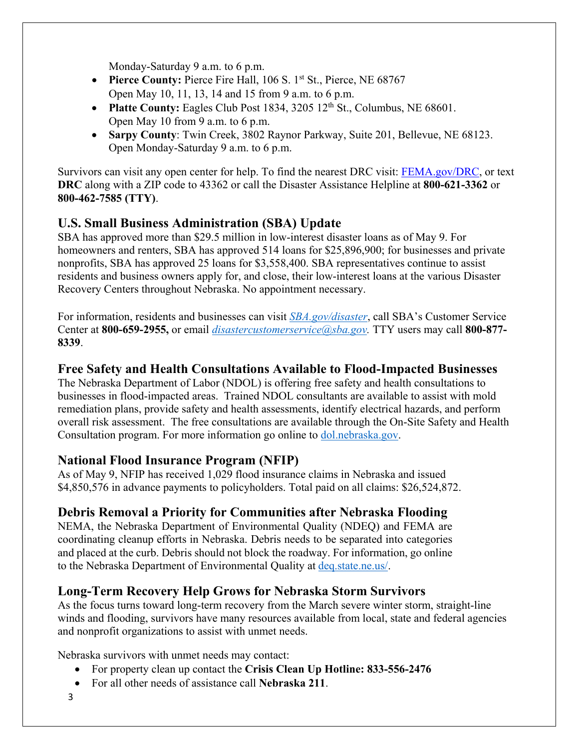Monday-Saturday 9 a.m. to 6 p.m.

- **Pierce County:** Pierce Fire Hall, 106 S. 1<sup>st</sup> St., Pierce, NE 68767 Open May 10, 11, 13, 14 and 15 from 9 a.m. to 6 p.m.
- **Platte County:** Eagles Club Post 1834, 3205 12<sup>th</sup> St., Columbus, NE 68601. Open May 10 from 9 a.m. to 6 p.m.
- **Sarpy County**: Twin Creek, 3802 Raynor Parkway, Suite 201, Bellevue, NE 68123. Open Monday-Saturday 9 a.m. to 6 p.m.

Survivors can visit any open center for help. To find the nearest DRC visit: [FEMA.gov/DRC,](http://www.fema.gov/DRC) or text **DRC** along with a ZIP code to 43362 or call the Disaster Assistance Helpline at **800-621-3362** or **800-462-7585 (TTY)**.

# **U.S. Small Business Administration (SBA) Update**

SBA has approved more than \$29.5 million in low-interest disaster loans as of May 9. For homeowners and renters, SBA has approved 514 loans for \$25,896,900; for businesses and private nonprofits, SBA has approved 25 loans for \$3,558,400. SBA representatives continue to assist residents and business owners apply for, and close, their low-interest loans at the various Disaster Recovery Centers throughout Nebraska. No appointment necessary.

For information, residents and businesses can visit *[SBA.gov/disaster](http://www.sba.gov/disaster)*, call SBA's Customer Service Center at **800-659-2955,** or email *[disastercustomerservice@sba.gov.](mailto:disastercustomerservice@sba.gov)* TTY users may call **800-877- 8339**.

## **Free Safety and Health Consultations Available to Flood-Impacted Businesses**

The Nebraska Department of Labor (NDOL) is offering free safety and health consultations to businesses in flood-impacted areas. Trained NDOL consultants are available to assist with mold remediation plans, provide safety and health assessments, identify electrical hazards, and perform overall risk assessment. The free consultations are available through the On-Site Safety and Health Consultation program. For more information go online to **dol.nebraska.gov.** 

## **National Flood Insurance Program (NFIP)**

As of May 9, NFIP has received 1,029 flood insurance claims in Nebraska and issued \$4,850,576 in advance payments to policyholders. Total paid on all claims: \$26,524,872.

# **Debris Removal a Priority for Communities after Nebraska Flooding**

NEMA, the Nebraska Department of Environmental Quality (NDEQ) and FEMA are coordinating cleanup efforts in Nebraska. Debris needs to be separated into categories and placed at the curb. Debris should not block the roadway. For information, go online to the Nebraska Department of Environmental Quality at [deq.state.ne.us/.](http://www.deq.state.ne.us/)

# **Long-Term Recovery Help Grows for Nebraska Storm Survivors**

As the focus turns toward long-term recovery from the March severe winter storm, straight-line winds and flooding, survivors have many resources available from local, state and federal agencies and nonprofit organizations to assist with unmet needs.

Nebraska survivors with unmet needs may contact:

- For property clean up contact the **Crisis Clean Up Hotline: 833-556-2476**
- For all other needs of assistance call **Nebraska 211**.
- 3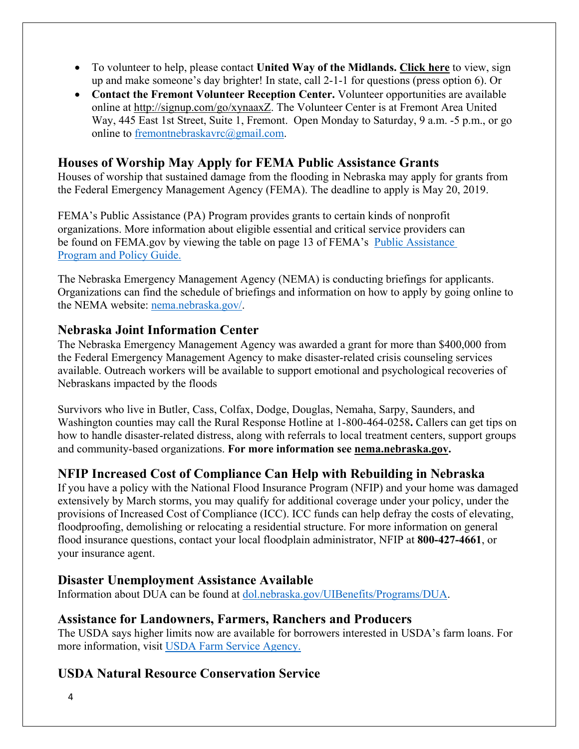- To volunteer to help, please contact **United Way of the Midlands. [Click](https://uwmidlands.galaxydigital.com/need/?s=1&need_init_id=1660) here** to view, sign up and make someone's day brighter! In state, call 2-1-1 for questions (press option 6). Or
- **Contact the Fremont Volunteer Reception Center.** Volunteer opportunities are available online at [http://signup.com/go/xynaaxZ.](http://signup.com/go/xynaaxZ?fbclid=IwAR1m90U2vgYS7ECdb6AHljMooZNkdAfb6i-7s_1hgOCf11d0oi-VMnJcMYY) The Volunteer Center is at Fremont Area United Way, 445 East 1st Street, Suite 1, Fremont. Open Monday to Saturday, 9 a.m. -5 p.m., or go online to [fremontnebraskavrc@gmail.com.](mailto:fremontnebraskavrc@gmail.com)

## **Houses of Worship May Apply for FEMA Public Assistance Grants**

Houses of worship that sustained damage from the flooding in Nebraska may apply for grants from the Federal Emergency Management Agency (FEMA). The deadline to apply is May 20, 2019.

FEMA's Public Assistance (PA) Program provides grants to certain kinds of nonprofit organizations. More information about eligible essential and critical service providers can be found on FEMA.gov by viewing the table on page 13 of FEMA's [Public Assistance](https://www.fema.gov/media-library-data/1525468328389-4a038bbef9081cd7dfe7538e7751aa9c/PAPPG_3.1_508_FINAL_5-4-2018.pdf)  [Program and Policy Guide.](https://www.fema.gov/media-library-data/1525468328389-4a038bbef9081cd7dfe7538e7751aa9c/PAPPG_3.1_508_FINAL_5-4-2018.pdf)

The Nebraska Emergency Management Agency (NEMA) is conducting briefings for applicants. Organizations can find the schedule of briefings and information on how to apply by going online to the NEMA website: [nema.nebraska.gov/.](https://nema.nebraska.gov/)

## **Nebraska Joint Information Center**

The Nebraska Emergency Management Agency was awarded a grant for more than \$400,000 from the Federal Emergency Management Agency to make disaster-related crisis counseling services available. Outreach workers will be available to support emotional and psychological recoveries of Nebraskans impacted by the floods

Survivors who live in Butler, Cass, Colfax, Dodge, Douglas, Nemaha, Sarpy, Saunders, and Washington counties may call the Rural Response Hotline at 1-800-464-0258**.** Callers can get tips on how to handle disaster-related distress, along with referrals to local treatment centers, support groups and community-based organizations. **For more information see [nema.nebraska.gov.](file://fema.net/R7/DR/DR-4420-NE/EA/Planning%20and%20Products/Writers/Dale%20Bonza/DFS/nema.nebraska.gov)**

## **NFIP Increased Cost of Compliance Can Help with Rebuilding in Nebraska**

If you have a policy with the National Flood Insurance Program (NFIP) and your home was damaged extensively by March storms, you may qualify for additional coverage under your policy, under the provisions of Increased Cost of Compliance (ICC). ICC funds can help defray the costs of elevating, floodproofing, demolishing or relocating a residential structure. For more information on general flood insurance questions, contact your local floodplain administrator, NFIP at **800-427-4661**, or your insurance agent.

## **Disaster Unemployment Assistance Available**

Information about DUA can be found at [dol.nebraska.gov/UIBenefits/Programs/DUA.](https://dol.nebraska.gov/UIBenefits/Programs/DUA)

## **Assistance for Landowners, Farmers, Ranchers and Producers**

The USDA says higher limits now are available for borrowers interested in USDA's farm loans. For more information, visit [USDA Farm Service Agency.](https://www.fsa.usda.gov/)

## **USDA Natural Resource Conservation Service**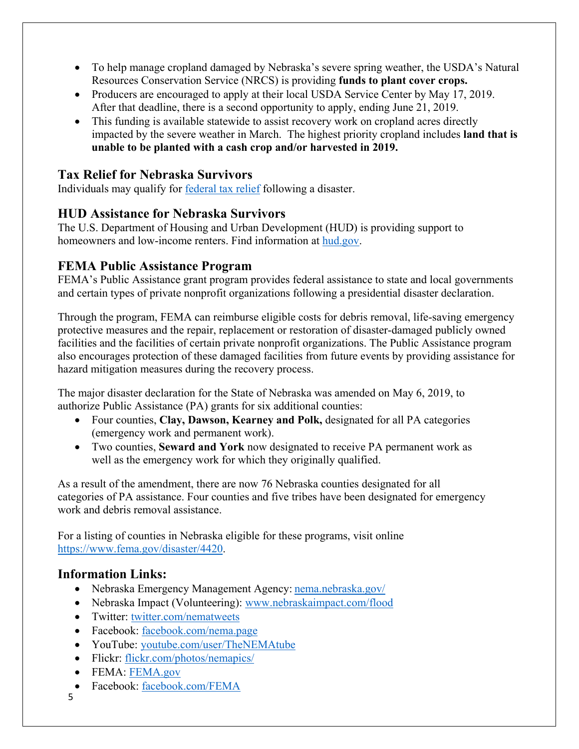- To help manage cropland damaged by Nebraska's severe spring weather, the USDA's Natural Resources Conservation Service (NRCS) is providing **funds to plant cover crops.**
- Producers are encouraged to apply at their local USDA Service Center by May 17, 2019. After that deadline, there is a second opportunity to apply, ending June 21, 2019.
- This funding is available statewide to assist recovery work on cropland acres directly impacted by the severe weather in March. The highest priority cropland includes **land that is unable to be planted with a cash crop and/or harvested in 2019.**

## **Tax Relief for Nebraska Survivors**

Individuals may qualify for federal tax relief [following a disaster.](https://www.irs.gov/newsroom/irs-announces-tax-relief-for-nebraska-victims-of-severe-winter-storm-straight-line-winds-and-flooding)

## **HUD Assistance for Nebraska Survivors**

The U.S. Department of Housing and Urban Development (HUD) is providing support to homeowners and low-income renters. Find information at [hud.gov.](https://www.hud.gov/)

## **FEMA Public Assistance Program**

FEMA's Public Assistance grant program provides federal assistance to state and local governments and certain types of private nonprofit organizations following a presidential disaster declaration.

Through the program, FEMA can reimburse eligible costs for debris removal, life-saving emergency protective measures and the repair, replacement or restoration of disaster-damaged publicly owned facilities and the facilities of certain private nonprofit organizations. The Public Assistance program also encourages protection of these damaged facilities from future events by providing assistance for hazard mitigation measures during the recovery process.

The major disaster declaration for the State of Nebraska was amended on May 6, 2019, to authorize Public Assistance (PA) grants for six additional counties:

- Four counties, **Clay, Dawson, Kearney and Polk,** designated for all PA categories (emergency work and permanent work).
- Two counties, **Seward and York** now designated to receive PA permanent work as well as the emergency work for which they originally qualified.

As a result of the amendment, there are now 76 Nebraska counties designated for all categories of PA assistance. Four counties and five tribes have been designated for emergency work and debris removal assistance.

For a listing of counties in Nebraska eligible for these programs, visit online [https://www.fema.gov/disaster/4420.](https://www.fema.gov/disaster/4420)

# **Information Links:**

- Nebraska Emergency Management Agency: [nema.nebraska.gov/](https://nema.nebraska.gov/)
- Nebraska Impact (Volunteering): [www.nebraskaimpact.com/flood](http://www.nebraskaimpact.com/flood)
- Twitter: [twitter.com/nematweets](https://twitter.com/nematweets)
- Facebook: [facebook.com/nema.page](https://www.facebook.com/nema.page)
- YouTube: [youtube.com/user/TheNEMAtube](https://www.youtube.com/user/TheNEMAtube)
- Flickr: [flickr.com/photos/nemapics/](https://www.flickr.com/photos/nemapics/)
- FEMA: [FEMA.gov](https://www.fema.gov/)
- Facebook: [facebook.com/FEMA](https://www.facebook.com/FEMA)
- 5